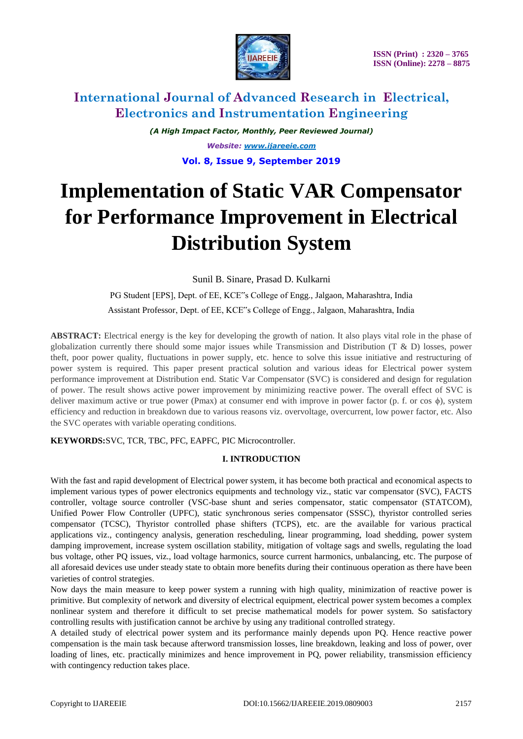

*(A High Impact Factor, Monthly, Peer Reviewed Journal) Website: [www.ijareeie.com](http://www.ijareeie.com/)* **Vol. 8, Issue 9, September 2019**

# **Implementation of Static VAR Compensator for Performance Improvement in Electrical Distribution System**

Sunil B. Sinare, Prasad D. Kulkarni

PG Student [EPS], Dept. of EE, KCE"s College of Engg., Jalgaon, Maharashtra, India Assistant Professor, Dept. of EE, KCE"s College of Engg., Jalgaon, Maharashtra, India

**ABSTRACT:** Electrical energy is the key for developing the growth of nation. It also plays vital role in the phase of globalization currently there should some major issues while Transmission and Distribution (T & D) losses, power theft, poor power quality, fluctuations in power supply, etc. hence to solve this issue initiative and restructuring of power system is required. This paper present practical solution and various ideas for Electrical power system performance improvement at Distribution end. Static Var Compensator (SVC) is considered and design for regulation of power. The result shows active power improvement by minimizing reactive power. The overall effect of SVC is deliver maximum active or true power (Pmax) at consumer end with improve in power factor (p. f. or cos ϕ), system efficiency and reduction in breakdown due to various reasons viz. overvoltage, overcurrent, low power factor, etc. Also the SVC operates with variable operating conditions.

**KEYWORDS:**SVC, TCR, TBC, PFC, EAPFC, PIC Microcontroller.

### **I. INTRODUCTION**

With the fast and rapid development of Electrical power system, it has become both practical and economical aspects to implement various types of power electronics equipments and technology viz., static var compensator (SVC), FACTS controller, voltage source controller (VSC-base shunt and series compensator, static compensator (STATCOM), Unified Power Flow Controller (UPFC), static synchronous series compensator (SSSC), thyristor controlled series compensator (TCSC), Thyristor controlled phase shifters (TCPS), etc. are the available for various practical applications viz., contingency analysis, generation rescheduling, linear programming, load shedding, power system damping improvement, increase system oscillation stability, mitigation of voltage sags and swells, regulating the load bus voltage, other PQ issues, viz., load voltage harmonics, source current harmonics, unbalancing, etc. The purpose of all aforesaid devices use under steady state to obtain more benefits during their continuous operation as there have been varieties of control strategies.

Now days the main measure to keep power system a running with high quality, minimization of reactive power is primitive. But complexity of network and diversity of electrical equipment, electrical power system becomes a complex nonlinear system and therefore it difficult to set precise mathematical models for power system. So satisfactory controlling results with justification cannot be archive by using any traditional controlled strategy.

A detailed study of electrical power system and its performance mainly depends upon PQ. Hence reactive power compensation is the main task because afterword transmission losses, line breakdown, leaking and loss of power, over loading of lines, etc. practically minimizes and hence improvement in PQ, power reliability, transmission efficiency with contingency reduction takes place.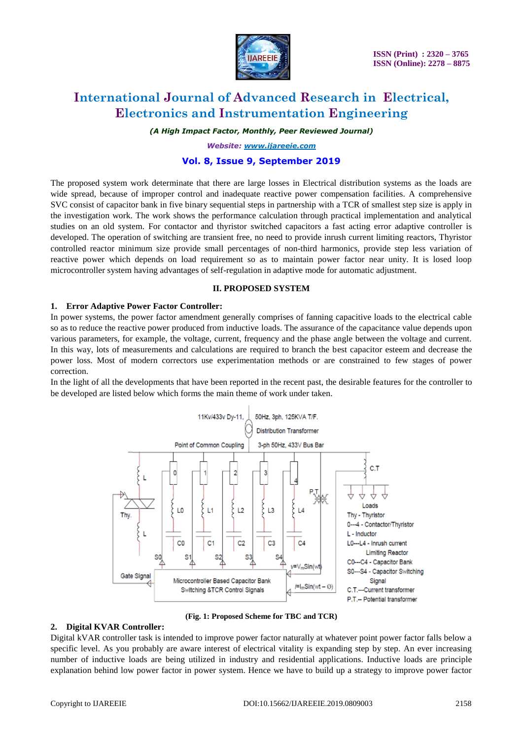

*(A High Impact Factor, Monthly, Peer Reviewed Journal)*

*Website: [www.ijareeie.com](http://www.ijareeie.com/)*

### **Vol. 8, Issue 9, September 2019**

The proposed system work determinate that there are large losses in Electrical distribution systems as the loads are wide spread, because of improper control and inadequate reactive power compensation facilities. A comprehensive SVC consist of capacitor bank in five binary sequential steps in partnership with a TCR of smallest step size is apply in the investigation work. The work shows the performance calculation through practical implementation and analytical studies on an old system. For contactor and thyristor switched capacitors a fast acting error adaptive controller is developed. The operation of switching are transient free, no need to provide inrush current limiting reactors, Thyristor controlled reactor minimum size provide small percentages of non-third harmonics, provide step less variation of reactive power which depends on load requirement so as to maintain power factor near unity. It is losed loop microcontroller system having advantages of self-regulation in adaptive mode for automatic adjustment.

#### **II. PROPOSED SYSTEM**

#### **1. Error Adaptive Power Factor Controller:**

In power systems, the power factor amendment generally comprises of fanning capacitive loads to the electrical cable so as to reduce the reactive power produced from inductive loads. The assurance of the capacitance value depends upon various parameters, for example, the voltage, current, frequency and the phase angle between the voltage and current. In this way, lots of measurements and calculations are required to branch the best capacitor esteem and decrease the power loss. Most of modern correctors use experimentation methods or are constrained to few stages of power correction.

In the light of all the developments that have been reported in the recent past, the desirable features for the controller to be developed are listed below which forms the main theme of work under taken.



**(Fig. 1: Proposed Scheme for TBC and TCR)**

#### **2. Digital KVAR Controller:**

Digital kVAR controller task is intended to improve power factor naturally at whatever point power factor falls below a specific level. As you probably are aware interest of electrical vitality is expanding step by step. An ever increasing number of inductive loads are being utilized in industry and residential applications. Inductive loads are principle explanation behind low power factor in power system. Hence we have to build up a strategy to improve power factor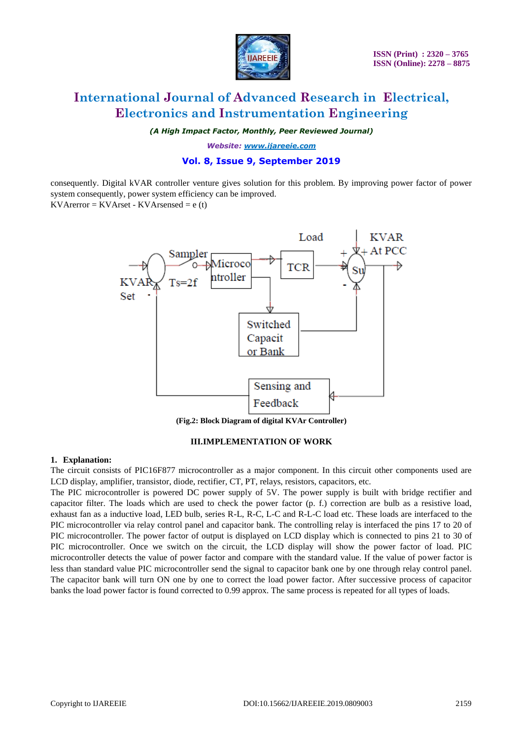

*(A High Impact Factor, Monthly, Peer Reviewed Journal)*

*Website: [www.ijareeie.com](http://www.ijareeie.com/)*

# **Vol. 8, Issue 9, September 2019**

consequently. Digital kVAR controller venture gives solution for this problem. By improving power factor of power system consequently, power system efficiency can be improved.  $KV$ Arerror =  $KV$ Arset -  $KV$ Arsensed = e (t)



**(Fig.2: Block Diagram of digital KVAr Controller)**

### **III.IMPLEMENTATION OF WORK**

#### **1. Explanation:**

The circuit consists of PIC16F877 microcontroller as a major component. In this circuit other components used are LCD display, amplifier, transistor, diode, rectifier, CT, PT, relays, resistors, capacitors, etc.

The PIC microcontroller is powered DC power supply of 5V. The power supply is built with bridge rectifier and capacitor filter. The loads which are used to check the power factor (p. f.) correction are bulb as a resistive load, exhaust fan as a inductive load, LED bulb, series R-L, R-C, L-C and R-L-C load etc. These loads are interfaced to the PIC microcontroller via relay control panel and capacitor bank. The controlling relay is interfaced the pins 17 to 20 of PIC microcontroller. The power factor of output is displayed on LCD display which is connected to pins 21 to 30 of PIC microcontroller. Once we switch on the circuit, the LCD display will show the power factor of load. PIC microcontroller detects the value of power factor and compare with the standard value. If the value of power factor is less than standard value PIC microcontroller send the signal to capacitor bank one by one through relay control panel. The capacitor bank will turn ON one by one to correct the load power factor. After successive process of capacitor banks the load power factor is found corrected to 0.99 approx. The same process is repeated for all types of loads.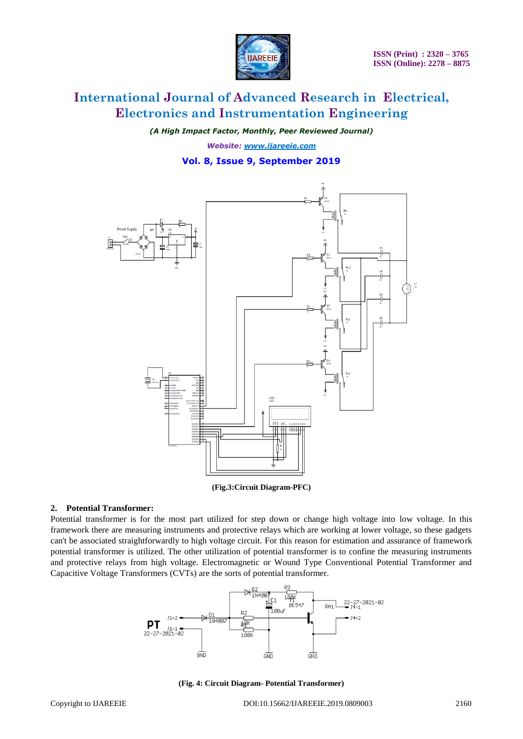

*(A High Impact Factor, Monthly, Peer Reviewed Journal)*

*Website: [www.ijareeie.com](http://www.ijareeie.com/)*

### **Vol. 8, Issue 9, September 2019**



**(Fig.3:Circuit Diagram-PFC)**

#### **2. Potential Transformer:**

Potential transformer is for the most part utilized for step down or change high voltage into low voltage. In this framework there are measuring instruments and protective relays which are working at lower voltage, so these gadgets can't be associated straightforwardly to high voltage circuit. For this reason for estimation and assurance of framework potential transformer is utilized. The other utilization of potential transformer is to confine the measuring instruments and protective relays from high voltage. Electromagnetic or Wound Type Conventional Potential Transformer and Capacitive Voltage Transformers (CVTs) are the sorts of potential transformer.



**(Fig. 4: Circuit Diagram- Potential Transformer)**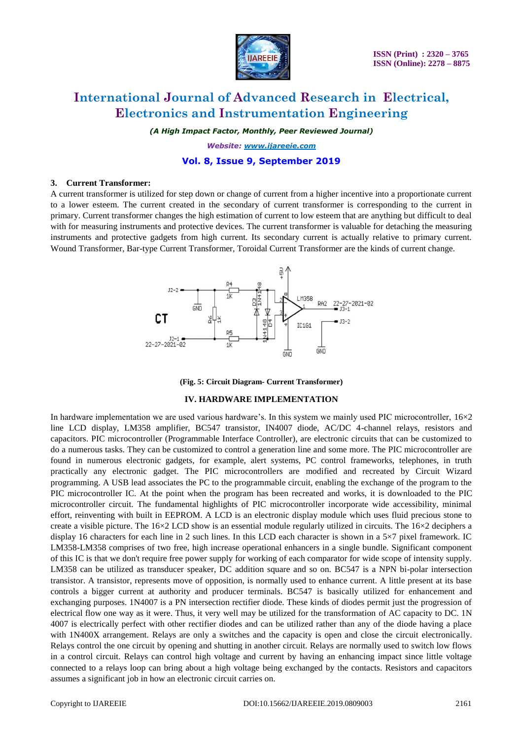

*(A High Impact Factor, Monthly, Peer Reviewed Journal)*

*Website: [www.ijareeie.com](http://www.ijareeie.com/)*

### **Vol. 8, Issue 9, September 2019**

#### **3. Current Transformer:**

A current transformer is utilized for step down or change of current from a higher incentive into a proportionate current to a lower esteem. The current created in the secondary of current transformer is corresponding to the current in primary. Current transformer changes the high estimation of current to low esteem that are anything but difficult to deal with for measuring instruments and protective devices. The current transformer is valuable for detaching the measuring instruments and protective gadgets from high current. Its secondary current is actually relative to primary current. Wound Transformer, Bar-type Current Transformer, Toroidal Current Transformer are the kinds of current change.





#### **IV. HARDWARE IMPLEMENTATION**

In hardware implementation we are used various hardware's. In this system we mainly used PIC microcontroller, 16×2 line LCD display, LM358 amplifier, BC547 transistor, IN4007 diode, AC/DC 4-channel relays, resistors and capacitors. PIC microcontroller (Programmable Interface Controller), are electronic circuits that can be customized to do a numerous tasks. They can be customized to control a generation line and some more. The PIC microcontroller are found in numerous electronic gadgets, for example, alert systems, PC control frameworks, telephones, in truth practically any electronic gadget. The PIC microcontrollers are modified and recreated by Circuit Wizard programming. A USB lead associates the PC to the programmable circuit, enabling the exchange of the program to the PIC microcontroller IC. At the point when the program has been recreated and works, it is downloaded to the PIC microcontroller circuit. The fundamental highlights of PIC microcontroller incorporate wide accessibility, minimal effort, reinventing with built in EEPROM. A LCD is an electronic display module which uses fluid precious stone to create a visible picture. The  $16\times2$  LCD show is an essential module regularly utilized in circuits. The  $16\times2$  deciphers a display 16 characters for each line in 2 such lines. In this LCD each character is shown in a 5×7 pixel framework. IC LM358-LM358 comprises of two free, high increase operational enhancers in a single bundle. Significant component of this IC is that we don't require free power supply for working of each comparator for wide scope of intensity supply. LM358 can be utilized as transducer speaker, DC addition square and so on. BC547 is a NPN bi-polar intersection transistor. A transistor, represents move of opposition, is normally used to enhance current. A little present at its base controls a bigger current at authority and producer terminals. BC547 is basically utilized for enhancement and exchanging purposes. 1N4007 is a PN intersection rectifier diode. These kinds of diodes permit just the progression of electrical flow one way as it were. Thus, it very well may be utilized for the transformation of AC capacity to DC. 1N 4007 is electrically perfect with other rectifier diodes and can be utilized rather than any of the diode having a place with  $1N400X$  arrangement. Relays are only a switches and the capacity is open and close the circuit electronically. Relays control the one circuit by opening and shutting in another circuit. Relays are normally used to switch low flows in a control circuit. Relays can control high voltage and current by having an enhancing impact since little voltage connected to a relays loop can bring about a high voltage being exchanged by the contacts. Resistors and capacitors assumes a significant job in how an electronic circuit carries on.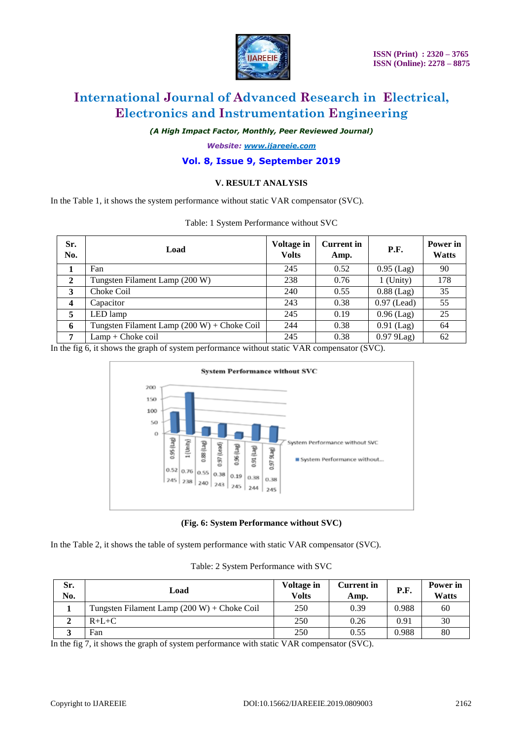

*(A High Impact Factor, Monthly, Peer Reviewed Journal)*

*Website: [www.ijareeie.com](http://www.ijareeie.com/)*

### **Vol. 8, Issue 9, September 2019**

#### **V. RESULT ANALYSIS**

In the Table 1, it shows the system performance without static VAR compensator (SVC).

| Sr.<br>No.     | Load                                          | Voltage in<br><b>Volts</b> | <b>Current</b> in<br>Amp. | P.F.          | Power in<br><b>Watts</b> |
|----------------|-----------------------------------------------|----------------------------|---------------------------|---------------|--------------------------|
|                | Fan                                           | 245                        | 0.52                      | $0.95$ (Lag)  | 90                       |
| $\overline{2}$ | Tungsten Filament Lamp (200 W)                | 238                        | 0.76                      | $1$ (Unity)   | 178                      |
| 3              | Choke Coil                                    | 240                        | 0.55                      | $0.88$ (Lag)  | 35                       |
| 4              | Capacitor                                     | 243                        | 0.38                      | $0.97$ (Lead) | 55                       |
| 5              | LED lamp                                      | 245                        | 0.19                      | $0.96$ (Lag)  | 25                       |
| 6              | Tungsten Filament Lamp $(200 W) +$ Choke Coil | 244                        | 0.38                      | $0.91$ (Lag)  | 64                       |
| 7              | $Lamp + Choke coil$                           | 245                        | 0.38                      | $0.979$ Lag)  | 62                       |

Table: 1 System Performance without SVC

In the fig 6, it shows the graph of system performance without static VAR compensator (SVC).



**(Fig. 6: System Performance without SVC)**

In the Table 2, it shows the table of system performance with static VAR compensator (SVC).

|  | Table: 2 System Performance with SVC |  |
|--|--------------------------------------|--|
|  |                                      |  |

| Sr.<br>No. | Load                                          | <b>Voltage in</b><br><b>Volts</b> | <b>Current in</b><br>Amp. | P.F.  | Power in<br>Watts |
|------------|-----------------------------------------------|-----------------------------------|---------------------------|-------|-------------------|
|            | Tungsten Filament Lamp $(200 W) +$ Choke Coil | 250                               | 0.39                      | 0.988 | 60                |
|            | $R+L+C$                                       | 250                               | 0.26                      | 0.91  | 30                |
|            | Fan                                           | 250                               | 0.55                      | 0.988 | 80                |

In the fig 7, it shows the graph of system performance with static VAR compensator (SVC).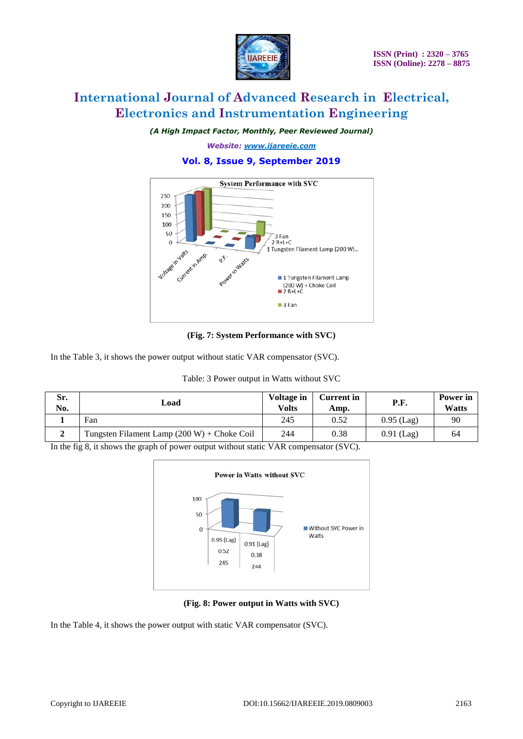

*(A High Impact Factor, Monthly, Peer Reviewed Journal)*

*Website: [www.ijareeie.com](http://www.ijareeie.com/)*

# **Vol. 8, Issue 9, September 2019**



**(Fig. 7: System Performance with SVC)**

In the Table 3, it shows the power output without static VAR compensator (SVC).

| Sr.<br>No. | Load                                          | <b>Voltage in</b><br><b>Volts</b> | <b>Current in</b><br>Amp. | <b>P.F.</b>  | Power in<br><b>Watts</b> |
|------------|-----------------------------------------------|-----------------------------------|---------------------------|--------------|--------------------------|
|            | Fan                                           | 245                               | 0.52                      | $0.95$ (Lag) | 90                       |
|            | Tungsten Filament Lamp $(200 W) +$ Choke Coil | 244                               | 0.38                      | $0.91$ (Lag) | 64                       |

### Table: 3 Power output in Watts without SVC

In the fig 8, it shows the graph of power output without static VAR compensator (SVC).



**(Fig. 8: Power output in Watts with SVC)**

In the Table 4, it shows the power output with static VAR compensator (SVC).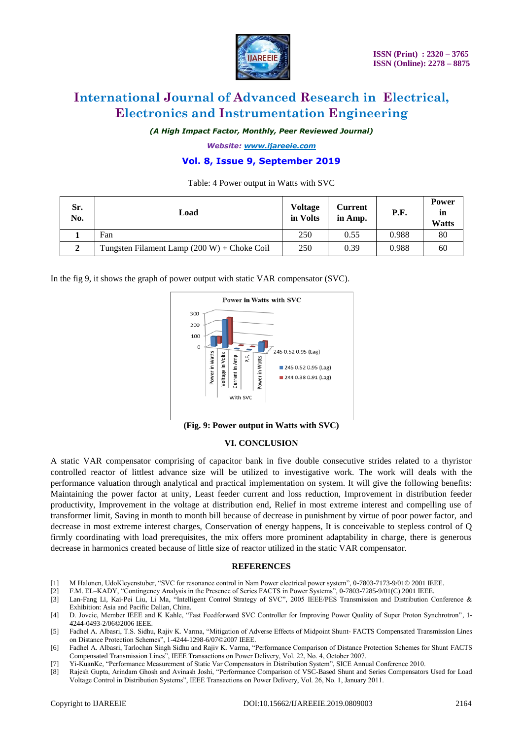

*(A High Impact Factor, Monthly, Peer Reviewed Journal)*

*Website: [www.ijareeie.com](http://www.ijareeie.com/)*

# **Vol. 8, Issue 9, September 2019**

Table: 4 Power output in Watts with SVC

| Sr.<br>No.    | Load                                          | <b>Voltage</b><br>in Volts | <b>Current</b><br>in Amp. | P.F.  | <b>Power</b><br>in<br><b>Watts</b> |
|---------------|-----------------------------------------------|----------------------------|---------------------------|-------|------------------------------------|
|               | Fan                                           | 250                        | 0.55                      | 0.988 | 80                                 |
| $\mathcal{L}$ | Tungsten Filament Lamp $(200 W) +$ Choke Coil | 250                        | 0.39                      | 0.988 | 60                                 |

In the fig 9, it shows the graph of power output with static VAR compensator (SVC).



**(Fig. 9: Power output in Watts with SVC)**

#### **VI. CONCLUSION**

A static VAR compensator comprising of capacitor bank in five double consecutive strides related to a thyristor controlled reactor of littlest advance size will be utilized to investigative work. The work will deals with the performance valuation through analytical and practical implementation on system. It will give the following benefits: Maintaining the power factor at unity, Least feeder current and loss reduction, Improvement in distribution feeder productivity, Improvement in the voltage at distribution end, Relief in most extreme interest and compelling use of transformer limit, Saving in month to month bill because of decrease in punishment by virtue of poor power factor, and decrease in most extreme interest charges, Conservation of energy happens, It is conceivable to stepless control of Q firmly coordinating with load prerequisites, the mix offers more prominent adaptability in charge, there is generous decrease in harmonics created because of little size of reactor utilized in the static VAR compensator.

#### **REFERENCES**

- [1] M Halonen, UdoKleyenstuber, "SVC for resonance control in Nam Power electrical power system", 0-7803-7173-9/01© 2001 IEEE.
- [2] F.M. EL–KADY, "Contingency Analysis in the Presence of Series FACTS in Power Systems", 0-7803-7285-9/01(C) 2001 IEEE.
- [3] Lan-Fang Li, Kai-Pei Liu, Li Ma, "Intelligent Control Strategy of SVC", 2005 IEEE/PES Transmission and Distribution Conference & Exhibition: Asia and Pacific Dalian, China.
- [4] D. Jovcic, Member IEEE and K Kahle, "Fast Feedforward SVC Controller for Improving Power Quality of Super Proton Synchrotron", 1- 4244-0493-2/06©2006 IEEE.
- [5] Fadhel A. Albasri, T.S. Sidhu, Rajiv K. Varma, "Mitigation of Adverse Effects of Midpoint Shunt- FACTS Compensated Transmission Lines on Distance Protection Schemes", 1-4244-1298-6/07©2007 IEEE.
- [6] Fadhel A. Albasri, Tarlochan Singh Sidhu and Rajiv K. Varma, "Performance Comparison of Distance Protection Schemes for Shunt FACTS Compensated Transmission Lines", IEEE Transactions on Power Delivery, Vol. 22, No. 4, October 2007.
- [7] Yi-KuanKe, "Performance Measurement of Static Var Compensators in Distribution System", SICE Annual Conference 2010.
- [8] Rajesh Gupta, Arindam Ghosh and Avinash Joshi, "Performance Comparison of VSC-Based Shunt and Series Compensators Used for Load Voltage Control in Distribution Systems", IEEE Transactions on Power Delivery, Vol. 26, No. 1, January 2011.